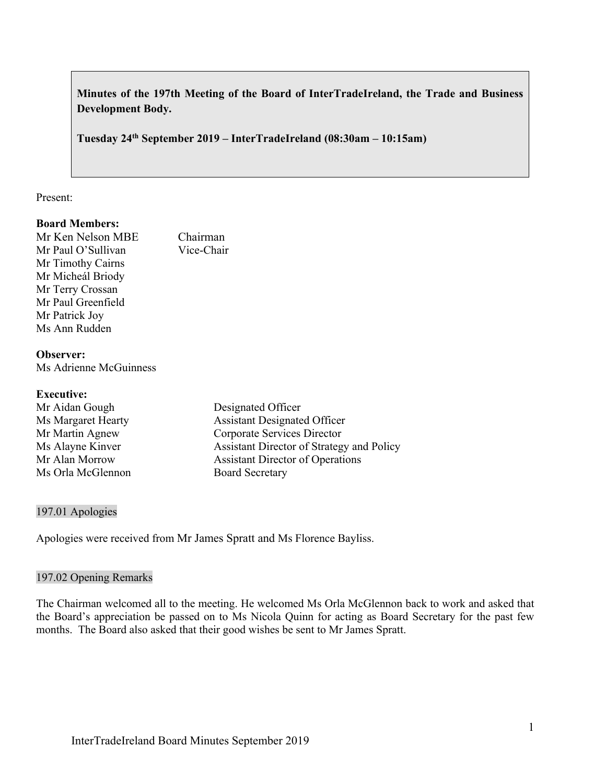**Minutes of the 197th Meeting of the Board of InterTradeIreland, the Trade and Business Development Body.** 

**Tuesday 24th September 2019 – InterTradeIreland (08:30am – 10:15am)**

#### Present:

### **Board Members:**

Mr Ken Nelson MBE<br>
Mr Paul O'Sullivan<br>
Vice-Chair Mr Paul O'Sullivan Mr Timothy Cairns Mr Micheál Briody Mr Terry Crossan Mr Paul Greenfield Mr Patrick Joy Ms Ann Rudden

# **Observer:**

Ms Adrienne McGuinness

#### **Executive:**

| Mr Aidan Gough     | Designated Officer                        |
|--------------------|-------------------------------------------|
| Ms Margaret Hearty | <b>Assistant Designated Officer</b>       |
| Mr Martin Agnew    | Corporate Services Director               |
| Ms Alayne Kinver   | Assistant Director of Strategy and Policy |
| Mr Alan Morrow     | <b>Assistant Director of Operations</b>   |
| Ms Orla McGlennon  | <b>Board Secretary</b>                    |

### 197.01 Apologies

Apologies were received from Mr James Spratt and Ms Florence Bayliss.

#### 197.02 Opening Remarks

The Chairman welcomed all to the meeting. He welcomed Ms Orla McGlennon back to work and asked that the Board's appreciation be passed on to Ms Nicola Quinn for acting as Board Secretary for the past few months. The Board also asked that their good wishes be sent to Mr James Spratt.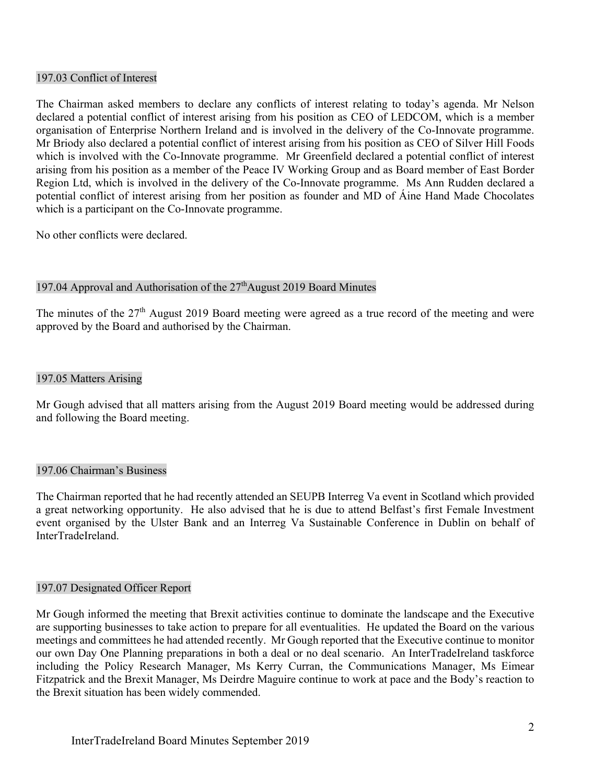#### 197.03 Conflict of Interest

The Chairman asked members to declare any conflicts of interest relating to today's agenda. Mr Nelson declared a potential conflict of interest arising from his position as CEO of LEDCOM, which is a member organisation of Enterprise Northern Ireland and is involved in the delivery of the Co-Innovate programme. Mr Briody also declared a potential conflict of interest arising from his position as CEO of Silver Hill Foods which is involved with the Co-Innovate programme. Mr Greenfield declared a potential conflict of interest arising from his position as a member of the Peace IV Working Group and as Board member of East Border Region Ltd, which is involved in the delivery of the Co-Innovate programme. Ms Ann Rudden declared a potential conflict of interest arising from her position as founder and MD of Áine Hand Made Chocolates which is a participant on the Co-Innovate programme.

No other conflicts were declared.

#### 197.04 Approval and Authorisation of the  $27<sup>th</sup>$ August 2019 Board Minutes

The minutes of the 27<sup>th</sup> August 2019 Board meeting were agreed as a true record of the meeting and were approved by the Board and authorised by the Chairman.

#### 197.05 Matters Arising

Mr Gough advised that all matters arising from the August 2019 Board meeting would be addressed during and following the Board meeting.

### 197.06 Chairman's Business

The Chairman reported that he had recently attended an SEUPB Interreg Va event in Scotland which provided a great networking opportunity. He also advised that he is due to attend Belfast's first Female Investment event organised by the Ulster Bank and an Interreg Va Sustainable Conference in Dublin on behalf of InterTradeIreland.

#### 197.07 Designated Officer Report

Mr Gough informed the meeting that Brexit activities continue to dominate the landscape and the Executive are supporting businesses to take action to prepare for all eventualities. He updated the Board on the various meetings and committees he had attended recently. Mr Gough reported that the Executive continue to monitor our own Day One Planning preparations in both a deal or no deal scenario. An InterTradeIreland taskforce including the Policy Research Manager, Ms Kerry Curran, the Communications Manager, Ms Eimear Fitzpatrick and the Brexit Manager, Ms Deirdre Maguire continue to work at pace and the Body's reaction to the Brexit situation has been widely commended.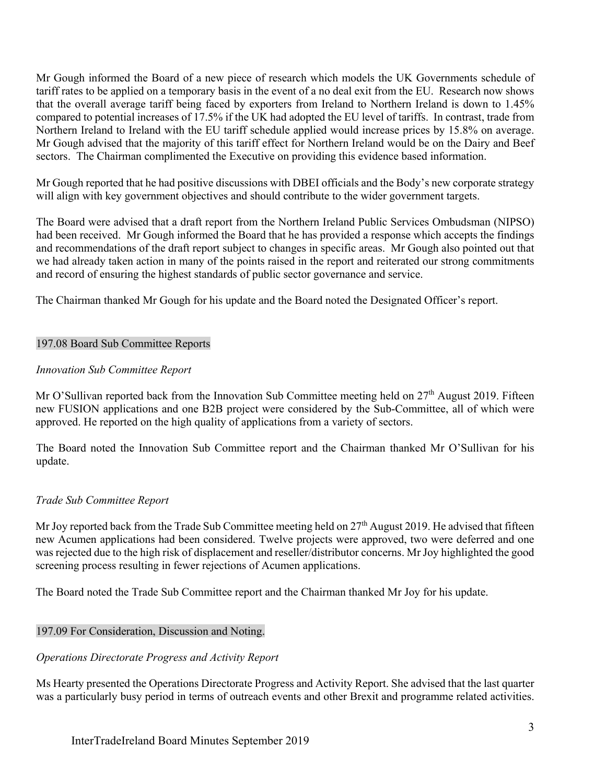Mr Gough informed the Board of a new piece of research which models the UK Governments schedule of tariff rates to be applied on a temporary basis in the event of a no deal exit from the EU. Research now shows that the overall average tariff being faced by exporters from Ireland to Northern Ireland is down to 1.45% compared to potential increases of 17.5% if the UK had adopted the EU level of tariffs. In contrast, trade from Northern Ireland to Ireland with the EU tariff schedule applied would increase prices by 15.8% on average. Mr Gough advised that the majority of this tariff effect for Northern Ireland would be on the Dairy and Beef sectors. The Chairman complimented the Executive on providing this evidence based information.

Mr Gough reported that he had positive discussions with DBEI officials and the Body's new corporate strategy will align with key government objectives and should contribute to the wider government targets.

The Board were advised that a draft report from the Northern Ireland Public Services Ombudsman (NIPSO) had been received. Mr Gough informed the Board that he has provided a response which accepts the findings and recommendations of the draft report subject to changes in specific areas. Mr Gough also pointed out that we had already taken action in many of the points raised in the report and reiterated our strong commitments and record of ensuring the highest standards of public sector governance and service.

The Chairman thanked Mr Gough for his update and the Board noted the Designated Officer's report.

### 197.08 Board Sub Committee Reports

### *Innovation Sub Committee Report*

Mr O'Sullivan reported back from the Innovation Sub Committee meeting held on 27<sup>th</sup> August 2019. Fifteen new FUSION applications and one B2B project were considered by the Sub-Committee, all of which were approved. He reported on the high quality of applications from a variety of sectors.

The Board noted the Innovation Sub Committee report and the Chairman thanked Mr O'Sullivan for his update.

### *Trade Sub Committee Report*

Mr Joy reported back from the Trade Sub Committee meeting held on 27<sup>th</sup> August 2019. He advised that fifteen new Acumen applications had been considered. Twelve projects were approved, two were deferred and one was rejected due to the high risk of displacement and reseller/distributor concerns. Mr Joy highlighted the good screening process resulting in fewer rejections of Acumen applications.

The Board noted the Trade Sub Committee report and the Chairman thanked Mr Joy for his update.

### 197.09 For Consideration, Discussion and Noting.

### *Operations Directorate Progress and Activity Report*

Ms Hearty presented the Operations Directorate Progress and Activity Report. She advised that the last quarter was a particularly busy period in terms of outreach events and other Brexit and programme related activities.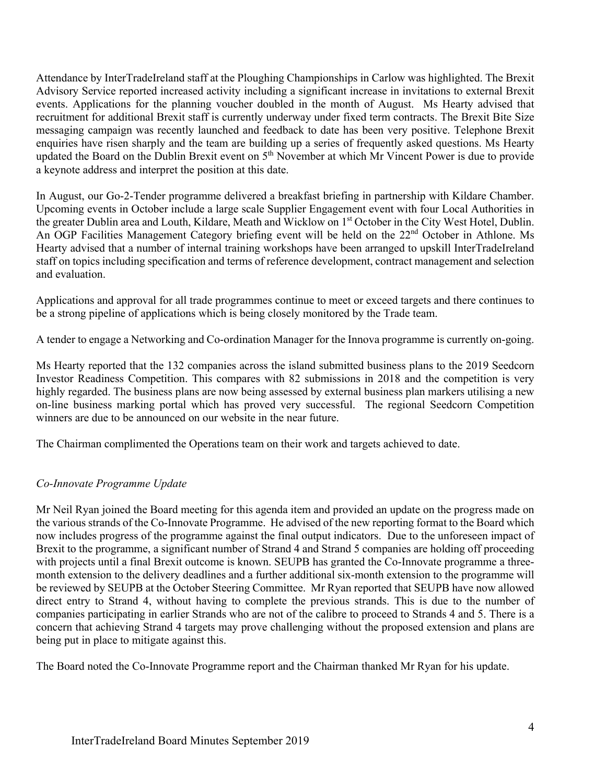Attendance by InterTradeIreland staff at the Ploughing Championships in Carlow was highlighted. The Brexit Advisory Service reported increased activity including a significant increase in invitations to external Brexit events. Applications for the planning voucher doubled in the month of August. Ms Hearty advised that recruitment for additional Brexit staff is currently underway under fixed term contracts. The Brexit Bite Size messaging campaign was recently launched and feedback to date has been very positive. Telephone Brexit enquiries have risen sharply and the team are building up a series of frequently asked questions. Ms Hearty updated the Board on the Dublin Brexit event on 5<sup>th</sup> November at which Mr Vincent Power is due to provide a keynote address and interpret the position at this date.

In August, our Go-2-Tender programme delivered a breakfast briefing in partnership with Kildare Chamber. Upcoming events in October include a large scale Supplier Engagement event with four Local Authorities in the greater Dublin area and Louth, Kildare, Meath and Wicklow on 1<sup>st</sup> October in the City West Hotel, Dublin. An OGP Facilities Management Category briefing event will be held on the 22<sup>nd</sup> October in Athlone. Ms Hearty advised that a number of internal training workshops have been arranged to upskill InterTradeIreland staff on topics including specification and terms of reference development, contract management and selection and evaluation.

Applications and approval for all trade programmes continue to meet or exceed targets and there continues to be a strong pipeline of applications which is being closely monitored by the Trade team.

A tender to engage a Networking and Co-ordination Manager for the Innova programme is currently on-going.

Ms Hearty reported that the 132 companies across the island submitted business plans to the 2019 Seedcorn Investor Readiness Competition. This compares with 82 submissions in 2018 and the competition is very highly regarded. The business plans are now being assessed by external business plan markers utilising a new on-line business marking portal which has proved very successful. The regional Seedcorn Competition winners are due to be announced on our website in the near future.

The Chairman complimented the Operations team on their work and targets achieved to date.

### *Co-Innovate Programme Update*

Mr Neil Ryan joined the Board meeting for this agenda item and provided an update on the progress made on the various strands of the Co-Innovate Programme. He advised of the new reporting format to the Board which now includes progress of the programme against the final output indicators. Due to the unforeseen impact of Brexit to the programme, a significant number of Strand 4 and Strand 5 companies are holding off proceeding with projects until a final Brexit outcome is known. SEUPB has granted the Co-Innovate programme a threemonth extension to the delivery deadlines and a further additional six-month extension to the programme will be reviewed by SEUPB at the October Steering Committee. Mr Ryan reported that SEUPB have now allowed direct entry to Strand 4, without having to complete the previous strands. This is due to the number of companies participating in earlier Strands who are not of the calibre to proceed to Strands 4 and 5. There is a concern that achieving Strand 4 targets may prove challenging without the proposed extension and plans are being put in place to mitigate against this.

The Board noted the Co-Innovate Programme report and the Chairman thanked Mr Ryan for his update.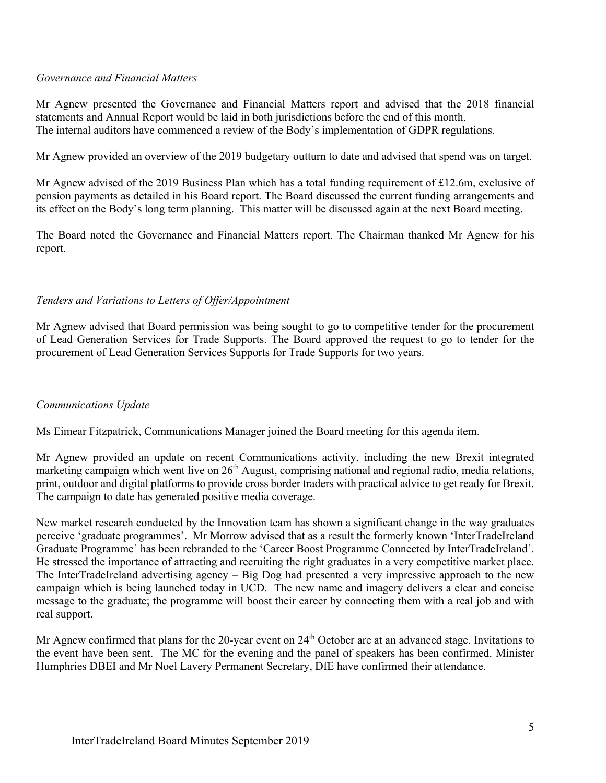### *Governance and Financial Matters*

Mr Agnew presented the Governance and Financial Matters report and advised that the 2018 financial statements and Annual Report would be laid in both jurisdictions before the end of this month. The internal auditors have commenced a review of the Body's implementation of GDPR regulations.

Mr Agnew provided an overview of the 2019 budgetary outturn to date and advised that spend was on target.

Mr Agnew advised of the 2019 Business Plan which has a total funding requirement of £12.6m, exclusive of pension payments as detailed in his Board report. The Board discussed the current funding arrangements and its effect on the Body's long term planning. This matter will be discussed again at the next Board meeting.

The Board noted the Governance and Financial Matters report. The Chairman thanked Mr Agnew for his report.

### *Tenders and Variations to Letters of Offer/Appointment*

Mr Agnew advised that Board permission was being sought to go to competitive tender for the procurement of Lead Generation Services for Trade Supports. The Board approved the request to go to tender for the procurement of Lead Generation Services Supports for Trade Supports for two years.

### *Communications Update*

Ms Eimear Fitzpatrick, Communications Manager joined the Board meeting for this agenda item.

Mr Agnew provided an update on recent Communications activity, including the new Brexit integrated marketing campaign which went live on  $26<sup>th</sup>$  August, comprising national and regional radio, media relations, print, outdoor and digital platforms to provide cross border traders with practical advice to get ready for Brexit. The campaign to date has generated positive media coverage.

New market research conducted by the Innovation team has shown a significant change in the way graduates perceive 'graduate programmes'. Mr Morrow advised that as a result the formerly known 'InterTradeIreland Graduate Programme' has been rebranded to the 'Career Boost Programme Connected by InterTradeIreland'. He stressed the importance of attracting and recruiting the right graduates in a very competitive market place. The InterTradeIreland advertising agency  $-$  Big Dog had presented a very impressive approach to the new campaign which is being launched today in UCD. The new name and imagery delivers a clear and concise message to the graduate; the programme will boost their career by connecting them with a real job and with real support.

Mr Agnew confirmed that plans for the 20-year event on 24<sup>th</sup> October are at an advanced stage. Invitations to the event have been sent. The MC for the evening and the panel of speakers has been confirmed. Minister Humphries DBEI and Mr Noel Lavery Permanent Secretary, DfE have confirmed their attendance.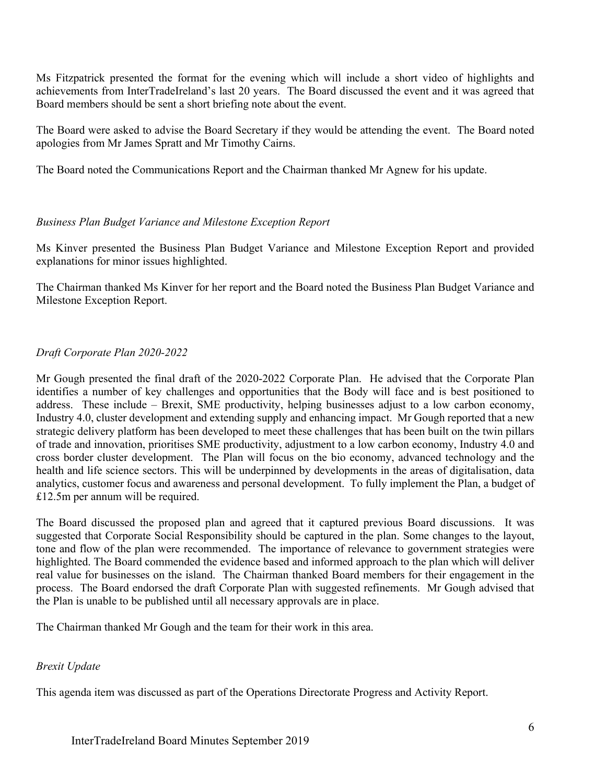Ms Fitzpatrick presented the format for the evening which will include a short video of highlights and achievements from InterTradeIreland's last 20 years. The Board discussed the event and it was agreed that Board members should be sent a short briefing note about the event.

The Board were asked to advise the Board Secretary if they would be attending the event. The Board noted apologies from Mr James Spratt and Mr Timothy Cairns.

The Board noted the Communications Report and the Chairman thanked Mr Agnew for his update.

# *Business Plan Budget Variance and Milestone Exception Report*

Ms Kinver presented the Business Plan Budget Variance and Milestone Exception Report and provided explanations for minor issues highlighted.

The Chairman thanked Ms Kinver for her report and the Board noted the Business Plan Budget Variance and Milestone Exception Report.

# *Draft Corporate Plan 2020-2022*

Mr Gough presented the final draft of the 2020-2022 Corporate Plan. He advised that the Corporate Plan identifies a number of key challenges and opportunities that the Body will face and is best positioned to address. These include – Brexit, SME productivity, helping businesses adjust to a low carbon economy, Industry 4.0, cluster development and extending supply and enhancing impact. Mr Gough reported that a new strategic delivery platform has been developed to meet these challenges that has been built on the twin pillars of trade and innovation, prioritises SME productivity, adjustment to a low carbon economy, Industry 4.0 and cross border cluster development. The Plan will focus on the bio economy, advanced technology and the health and life science sectors. This will be underpinned by developments in the areas of digitalisation, data analytics, customer focus and awareness and personal development. To fully implement the Plan, a budget of £12.5m per annum will be required.

The Board discussed the proposed plan and agreed that it captured previous Board discussions. It was suggested that Corporate Social Responsibility should be captured in the plan. Some changes to the layout, tone and flow of the plan were recommended. The importance of relevance to government strategies were highlighted. The Board commended the evidence based and informed approach to the plan which will deliver real value for businesses on the island. The Chairman thanked Board members for their engagement in the process. The Board endorsed the draft Corporate Plan with suggested refinements. Mr Gough advised that the Plan is unable to be published until all necessary approvals are in place.

The Chairman thanked Mr Gough and the team for their work in this area.

### *Brexit Update*

This agenda item was discussed as part of the Operations Directorate Progress and Activity Report.